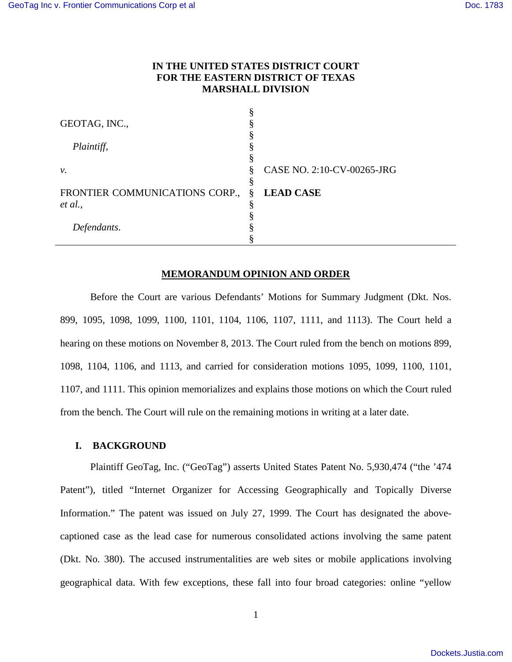# **IN THE UNITED STATES DISTRICT COURT FOR THE EASTERN DISTRICT OF TEXAS MARSHALL DIVISION**

| GEOTAG, INC.,                  |   |                            |
|--------------------------------|---|----------------------------|
|                                |   |                            |
| Plaintiff,                     |   |                            |
|                                |   |                            |
| ν.                             | 8 | CASE NO. 2:10-CV-00265-JRG |
|                                |   |                            |
| FRONTIER COMMUNICATIONS CORP., | § | <b>LEAD CASE</b>           |
| et al.,                        |   |                            |
|                                |   |                            |
| Defendants.                    |   |                            |
|                                |   |                            |

### **MEMORANDUM OPINION AND ORDER**

Before the Court are various Defendants' Motions for Summary Judgment (Dkt. Nos. 899, 1095, 1098, 1099, 1100, 1101, 1104, 1106, 1107, 1111, and 1113). The Court held a hearing on these motions on November 8, 2013. The Court ruled from the bench on motions 899, 1098, 1104, 1106, and 1113, and carried for consideration motions 1095, 1099, 1100, 1101, 1107, and 1111. This opinion memorializes and explains those motions on which the Court ruled from the bench. The Court will rule on the remaining motions in writing at a later date.

### **I. BACKGROUND**

Plaintiff GeoTag, Inc. ("GeoTag") asserts United States Patent No. 5,930,474 ("the '474 Patent"), titled "Internet Organizer for Accessing Geographically and Topically Diverse Information." The patent was issued on July 27, 1999. The Court has designated the abovecaptioned case as the lead case for numerous consolidated actions involving the same patent (Dkt. No. 380). The accused instrumentalities are web sites or mobile applications involving geographical data. With few exceptions, these fall into four broad categories: online "yellow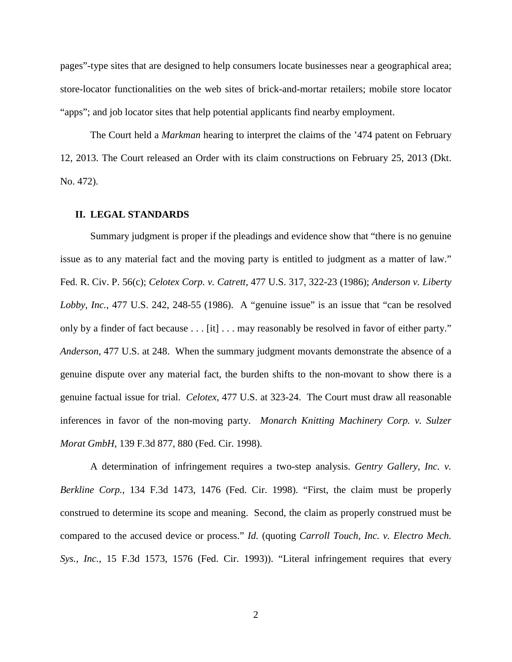pages"-type sites that are designed to help consumers locate businesses near a geographical area; store-locator functionalities on the web sites of brick-and-mortar retailers; mobile store locator "apps"; and job locator sites that help potential applicants find nearby employment.

The Court held a *Markman* hearing to interpret the claims of the '474 patent on February 12, 2013. The Court released an Order with its claim constructions on February 25, 2013 (Dkt. No. 472).

#### **II. LEGAL STANDARDS**

Summary judgment is proper if the pleadings and evidence show that "there is no genuine issue as to any material fact and the moving party is entitled to judgment as a matter of law." Fed. R. Civ. P. 56(c); *Celotex Corp. v. Catrett*, 477 U.S. 317, 322-23 (1986); *Anderson v. Liberty Lobby, Inc.*, 477 U.S. 242, 248-55 (1986). A "genuine issue" is an issue that "can be resolved only by a finder of fact because . . . [it] . . . may reasonably be resolved in favor of either party." *Anderson*, 477 U.S. at 248. When the summary judgment movants demonstrate the absence of a genuine dispute over any material fact, the burden shifts to the non-movant to show there is a genuine factual issue for trial. *Celotex*, 477 U.S. at 323-24. The Court must draw all reasonable inferences in favor of the non-moving party. *Monarch Knitting Machinery Corp. v. Sulzer Morat GmbH*, 139 F.3d 877, 880 (Fed. Cir. 1998).

A determination of infringement requires a two-step analysis. *Gentry Gallery, Inc. v. Berkline Corp.*, 134 F.3d 1473, 1476 (Fed. Cir. 1998). "First, the claim must be properly construed to determine its scope and meaning. Second, the claim as properly construed must be compared to the accused device or process." *Id.* (quoting *Carroll Touch, Inc. v. Electro Mech. Sys., Inc.*, 15 F.3d 1573, 1576 (Fed. Cir. 1993)). "Literal infringement requires that every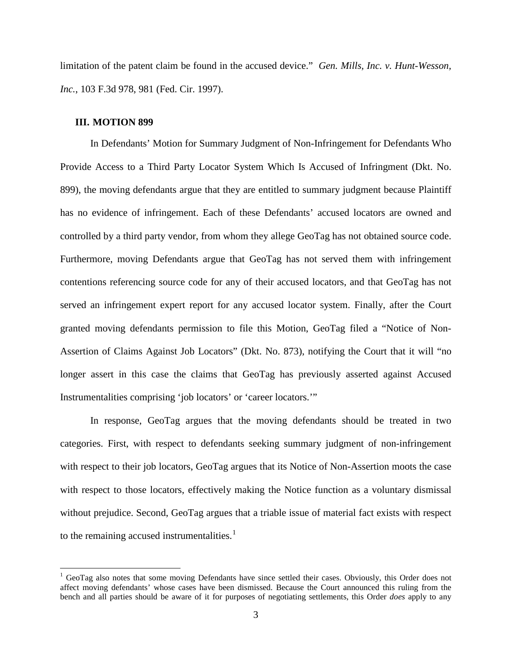limitation of the patent claim be found in the accused device." *Gen. Mills, Inc. v. Hunt-Wesson, Inc.*, 103 F.3d 978, 981 (Fed. Cir. 1997).

#### **III. MOTION 899**

<u>.</u>

In Defendants' Motion for Summary Judgment of Non-Infringement for Defendants Who Provide Access to a Third Party Locator System Which Is Accused of Infringment (Dkt. No. 899), the moving defendants argue that they are entitled to summary judgment because Plaintiff has no evidence of infringement. Each of these Defendants' accused locators are owned and controlled by a third party vendor, from whom they allege GeoTag has not obtained source code. Furthermore, moving Defendants argue that GeoTag has not served them with infringement contentions referencing source code for any of their accused locators, and that GeoTag has not served an infringement expert report for any accused locator system. Finally, after the Court granted moving defendants permission to file this Motion, GeoTag filed a "Notice of Non-Assertion of Claims Against Job Locators" (Dkt. No. 873), notifying the Court that it will "no longer assert in this case the claims that GeoTag has previously asserted against Accused Instrumentalities comprising 'job locators' or 'career locators.'"

In response, GeoTag argues that the moving defendants should be treated in two categories. First, with respect to defendants seeking summary judgment of non-infringement with respect to their job locators, GeoTag argues that its Notice of Non-Assertion moots the case with respect to those locators, effectively making the Notice function as a voluntary dismissal without prejudice. Second, GeoTag argues that a triable issue of material fact exists with respect to the remaining accused instrumentalities. $<sup>1</sup>$  $<sup>1</sup>$  $<sup>1</sup>$ </sup>

<span id="page-2-0"></span><sup>&</sup>lt;sup>1</sup> GeoTag also notes that some moving Defendants have since settled their cases. Obviously, this Order does not affect moving defendants' whose cases have been dismissed. Because the Court announced this ruling from the bench and all parties should be aware of it for purposes of negotiating settlements, this Order *does* apply to any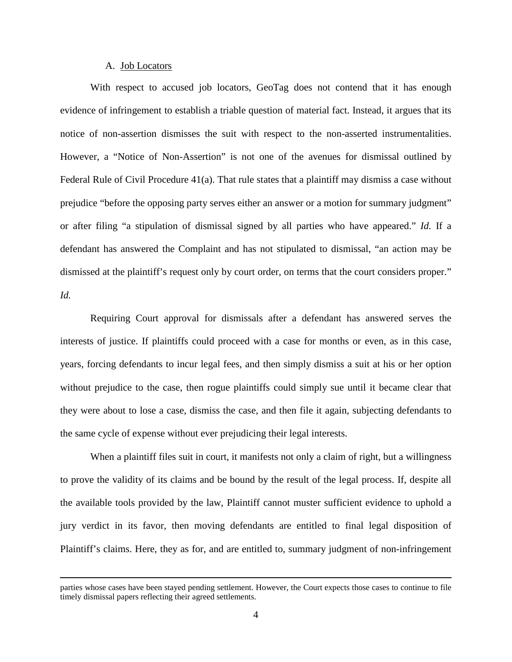## A. Job Locators

<u>.</u>

With respect to accused job locators, GeoTag does not contend that it has enough evidence of infringement to establish a triable question of material fact. Instead, it argues that its notice of non-assertion dismisses the suit with respect to the non-asserted instrumentalities. However, a "Notice of Non-Assertion" is not one of the avenues for dismissal outlined by Federal Rule of Civil Procedure 41(a). That rule states that a plaintiff may dismiss a case without prejudice "before the opposing party serves either an answer or a motion for summary judgment" or after filing "a stipulation of dismissal signed by all parties who have appeared." *Id.* If a defendant has answered the Complaint and has not stipulated to dismissal, "an action may be dismissed at the plaintiff's request only by court order, on terms that the court considers proper." *Id.*

Requiring Court approval for dismissals after a defendant has answered serves the interests of justice. If plaintiffs could proceed with a case for months or even, as in this case, years, forcing defendants to incur legal fees, and then simply dismiss a suit at his or her option without prejudice to the case, then rogue plaintiffs could simply sue until it became clear that they were about to lose a case, dismiss the case, and then file it again, subjecting defendants to the same cycle of expense without ever prejudicing their legal interests.

When a plaintiff files suit in court, it manifests not only a claim of right, but a willingness to prove the validity of its claims and be bound by the result of the legal process. If, despite all the available tools provided by the law, Plaintiff cannot muster sufficient evidence to uphold a jury verdict in its favor, then moving defendants are entitled to final legal disposition of Plaintiff's claims. Here, they as for, and are entitled to, summary judgment of non-infringement

parties whose cases have been stayed pending settlement. However, the Court expects those cases to continue to file timely dismissal papers reflecting their agreed settlements.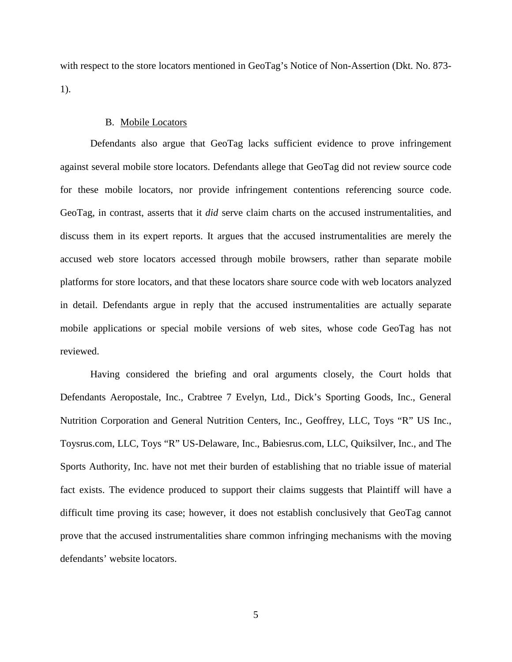with respect to the store locators mentioned in GeoTag's Notice of Non-Assertion (Dkt. No. 873- 1).

### B. Mobile Locators

Defendants also argue that GeoTag lacks sufficient evidence to prove infringement against several mobile store locators. Defendants allege that GeoTag did not review source code for these mobile locators, nor provide infringement contentions referencing source code. GeoTag, in contrast, asserts that it *did* serve claim charts on the accused instrumentalities, and discuss them in its expert reports. It argues that the accused instrumentalities are merely the accused web store locators accessed through mobile browsers, rather than separate mobile platforms for store locators, and that these locators share source code with web locators analyzed in detail. Defendants argue in reply that the accused instrumentalities are actually separate mobile applications or special mobile versions of web sites, whose code GeoTag has not reviewed.

Having considered the briefing and oral arguments closely, the Court holds that Defendants Aeropostale, Inc., Crabtree 7 Evelyn, Ltd., Dick's Sporting Goods, Inc., General Nutrition Corporation and General Nutrition Centers, Inc., Geoffrey, LLC, Toys "R" US Inc., Toysrus.com, LLC, Toys "R" US-Delaware, Inc., Babiesrus.com, LLC, Quiksilver, Inc., and The Sports Authority, Inc. have not met their burden of establishing that no triable issue of material fact exists. The evidence produced to support their claims suggests that Plaintiff will have a difficult time proving its case; however, it does not establish conclusively that GeoTag cannot prove that the accused instrumentalities share common infringing mechanisms with the moving defendants' website locators.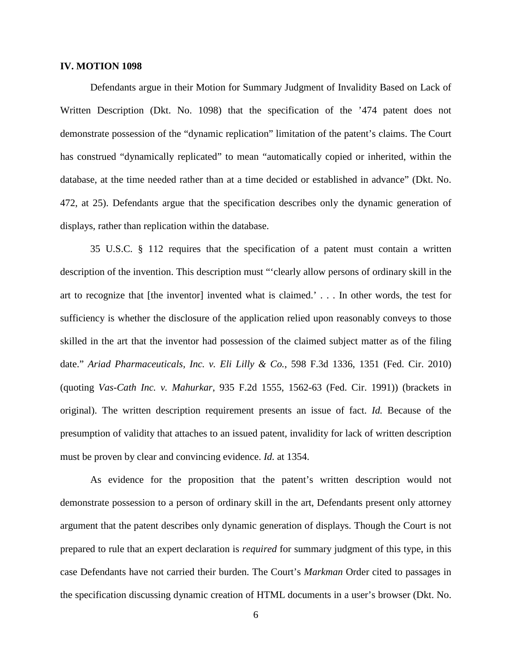## **IV. MOTION 1098**

Defendants argue in their Motion for Summary Judgment of Invalidity Based on Lack of Written Description (Dkt. No. 1098) that the specification of the '474 patent does not demonstrate possession of the "dynamic replication" limitation of the patent's claims. The Court has construed "dynamically replicated" to mean "automatically copied or inherited, within the database, at the time needed rather than at a time decided or established in advance" (Dkt. No. 472, at 25). Defendants argue that the specification describes only the dynamic generation of displays, rather than replication within the database.

35 U.S.C. § 112 requires that the specification of a patent must contain a written description of the invention. This description must "'clearly allow persons of ordinary skill in the art to recognize that [the inventor] invented what is claimed.' . . . In other words, the test for sufficiency is whether the disclosure of the application relied upon reasonably conveys to those skilled in the art that the inventor had possession of the claimed subject matter as of the filing date." *Ariad Pharmaceuticals, Inc. v. Eli Lilly & Co.*, 598 F.3d 1336, 1351 (Fed. Cir. 2010) (quoting *Vas-Cath Inc. v. Mahurkar*, 935 F.2d 1555, 1562-63 (Fed. Cir. 1991)) (brackets in original). The written description requirement presents an issue of fact. *Id.* Because of the presumption of validity that attaches to an issued patent, invalidity for lack of written description must be proven by clear and convincing evidence. *Id.* at 1354.

As evidence for the proposition that the patent's written description would not demonstrate possession to a person of ordinary skill in the art, Defendants present only attorney argument that the patent describes only dynamic generation of displays. Though the Court is not prepared to rule that an expert declaration is *required* for summary judgment of this type, in this case Defendants have not carried their burden. The Court's *Markman* Order cited to passages in the specification discussing dynamic creation of HTML documents in a user's browser (Dkt. No.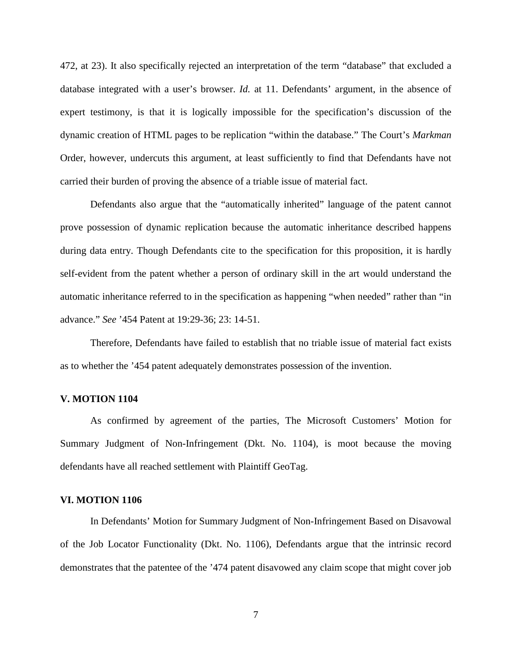472, at 23). It also specifically rejected an interpretation of the term "database" that excluded a database integrated with a user's browser. *Id.* at 11. Defendants' argument, in the absence of expert testimony, is that it is logically impossible for the specification's discussion of the dynamic creation of HTML pages to be replication "within the database." The Court's *Markman* Order, however, undercuts this argument, at least sufficiently to find that Defendants have not carried their burden of proving the absence of a triable issue of material fact.

Defendants also argue that the "automatically inherited" language of the patent cannot prove possession of dynamic replication because the automatic inheritance described happens during data entry. Though Defendants cite to the specification for this proposition, it is hardly self-evident from the patent whether a person of ordinary skill in the art would understand the automatic inheritance referred to in the specification as happening "when needed" rather than "in advance." *See* '454 Patent at 19:29-36; 23: 14-51.

Therefore, Defendants have failed to establish that no triable issue of material fact exists as to whether the '454 patent adequately demonstrates possession of the invention.

#### **V. MOTION 1104**

As confirmed by agreement of the parties, The Microsoft Customers' Motion for Summary Judgment of Non-Infringement (Dkt. No. 1104), is moot because the moving defendants have all reached settlement with Plaintiff GeoTag.

#### **VI. MOTION 1106**

In Defendants' Motion for Summary Judgment of Non-Infringement Based on Disavowal of the Job Locator Functionality (Dkt. No. 1106), Defendants argue that the intrinsic record demonstrates that the patentee of the '474 patent disavowed any claim scope that might cover job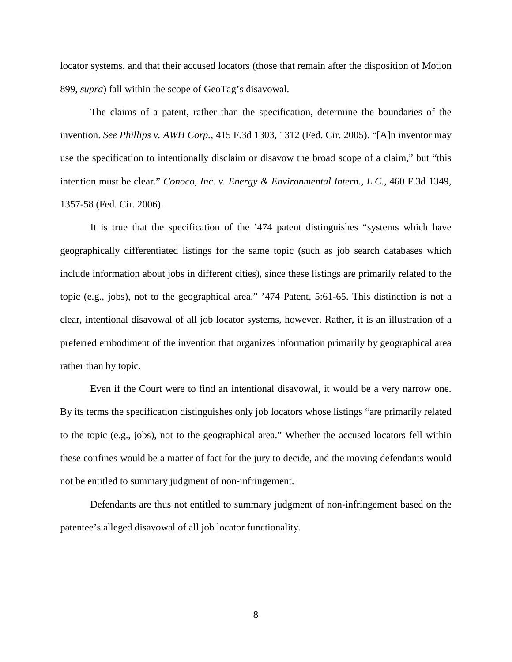locator systems, and that their accused locators (those that remain after the disposition of Motion 899, *supra*) fall within the scope of GeoTag's disavowal.

The claims of a patent, rather than the specification, determine the boundaries of the invention. *See Phillips v. AWH Corp.*, 415 F.3d 1303, 1312 (Fed. Cir. 2005). "[A]n inventor may use the specification to intentionally disclaim or disavow the broad scope of a claim," but "this intention must be clear." *Conoco, Inc. v. Energy & Environmental Intern., L.C.*, 460 F.3d 1349, 1357-58 (Fed. Cir. 2006).

It is true that the specification of the '474 patent distinguishes "systems which have geographically differentiated listings for the same topic (such as job search databases which include information about jobs in different cities), since these listings are primarily related to the topic (e.g., jobs), not to the geographical area." '474 Patent, 5:61-65. This distinction is not a clear, intentional disavowal of all job locator systems, however. Rather, it is an illustration of a preferred embodiment of the invention that organizes information primarily by geographical area rather than by topic.

Even if the Court were to find an intentional disavowal, it would be a very narrow one. By its terms the specification distinguishes only job locators whose listings "are primarily related to the topic (e.g., jobs), not to the geographical area." Whether the accused locators fell within these confines would be a matter of fact for the jury to decide, and the moving defendants would not be entitled to summary judgment of non-infringement.

Defendants are thus not entitled to summary judgment of non-infringement based on the patentee's alleged disavowal of all job locator functionality.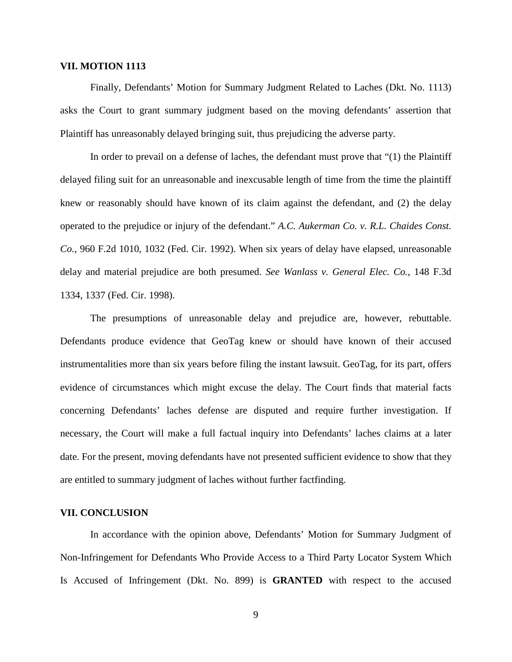## **VII. MOTION 1113**

Finally, Defendants' Motion for Summary Judgment Related to Laches (Dkt. No. 1113) asks the Court to grant summary judgment based on the moving defendants' assertion that Plaintiff has unreasonably delayed bringing suit, thus prejudicing the adverse party.

In order to prevail on a defense of laches, the defendant must prove that "(1) the Plaintiff delayed filing suit for an unreasonable and inexcusable length of time from the time the plaintiff knew or reasonably should have known of its claim against the defendant, and (2) the delay operated to the prejudice or injury of the defendant." *A.C. Aukerman Co. v. R.L. Chaides Const. Co.*, 960 F.2d 1010, 1032 (Fed. Cir. 1992). When six years of delay have elapsed, unreasonable delay and material prejudice are both presumed. *See Wanlass v. General Elec. Co.*, 148 F.3d 1334, 1337 (Fed. Cir. 1998).

The presumptions of unreasonable delay and prejudice are, however, rebuttable. Defendants produce evidence that GeoTag knew or should have known of their accused instrumentalities more than six years before filing the instant lawsuit. GeoTag, for its part, offers evidence of circumstances which might excuse the delay. The Court finds that material facts concerning Defendants' laches defense are disputed and require further investigation. If necessary, the Court will make a full factual inquiry into Defendants' laches claims at a later date. For the present, moving defendants have not presented sufficient evidence to show that they are entitled to summary judgment of laches without further factfinding.

### **VII. CONCLUSION**

In accordance with the opinion above, Defendants' Motion for Summary Judgment of Non-Infringement for Defendants Who Provide Access to a Third Party Locator System Which Is Accused of Infringement (Dkt. No. 899) is **GRANTED** with respect to the accused